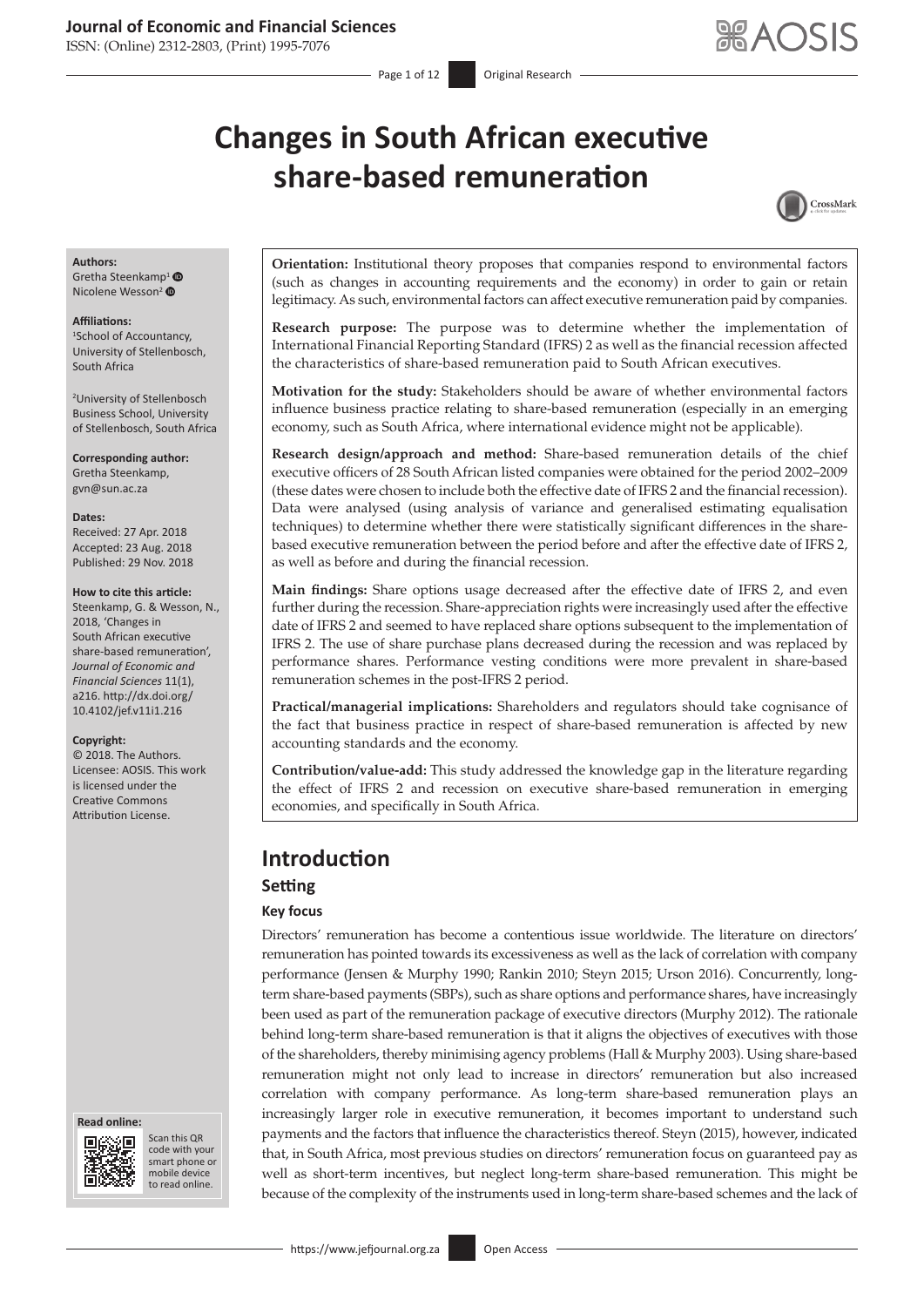ISSN: (Online) 2312-2803, (Print) 1995-7076

# **Changes in South African executive share-based remuneration**



#### **Authors:**

Gretha Steenkam[p](https://orcid.org/0000-0002-0312-2738)<sup>[1](https://orcid.org/0000-0001-8968-9403)</sup> <sup>O</sup> Nicolene Wesson<sup>2</sup>

#### **Affiliations:**

1 School of Accountancy, University of Stellenbosch, South Africa

2 University of Stellenbosch Business School, University of Stellenbosch, South Africa

**Corresponding author:** Gretha Steenkamp, [gvn@sun.ac.za](mailto:gvn@sun.ac.za)

#### **Dates:**

Received: 27 Apr. 2018 Accepted: 23 Aug. 2018 Published: 29 Nov. 2018

#### **How to cite this article:**

Steenkamp, G. & Wesson, N., 2018, 'Changes in South African executive share-based remuneration', *Journal of Economic and Financial Sciences* 11(1), a216. [http://dx.doi.org/](http://dx.doi.org/<200B>10.4102/jef.v11i1.216) [10.4102/jef.v11i1.216](http://dx.doi.org/<200B>10.4102/jef.v11i1.216)

#### **Copyright:**

© 2018. The Authors. Licensee: AOSIS. This work is licensed under the Creative Commons Attribution License.





Scan this QR code with your Scan this QR<br>code with your<br>smart phone or<br>mobile device mobile device to read online. to read online.

**Orientation:** Institutional theory proposes that companies respond to environmental factors (such as changes in accounting requirements and the economy) in order to gain or retain legitimacy. As such, environmental factors can affect executive remuneration paid by companies.

**Research purpose:** The purpose was to determine whether the implementation of International Financial Reporting Standard (IFRS) 2 as well as the financial recession affected the characteristics of share-based remuneration paid to South African executives.

**Motivation for the study:** Stakeholders should be aware of whether environmental factors influence business practice relating to share-based remuneration (especially in an emerging economy, such as South Africa, where international evidence might not be applicable).

**Research design/approach and method:** Share-based remuneration details of the chief executive officers of 28 South African listed companies were obtained for the period 2002–2009 (these dates were chosen to include both the effective date of IFRS 2 and the financial recession). Data were analysed (using analysis of variance and generalised estimating equalisation techniques) to determine whether there were statistically significant differences in the sharebased executive remuneration between the period before and after the effective date of IFRS 2, as well as before and during the financial recession.

**Main findings:** Share options usage decreased after the effective date of IFRS 2, and even further during the recession. Share-appreciation rights were increasingly used after the effective date of IFRS 2 and seemed to have replaced share options subsequent to the implementation of IFRS 2. The use of share purchase plans decreased during the recession and was replaced by performance shares. Performance vesting conditions were more prevalent in share-based remuneration schemes in the post-IFRS 2 period.

**Practical/managerial implications:** Shareholders and regulators should take cognisance of the fact that business practice in respect of share-based remuneration is affected by new accounting standards and the economy.

**Contribution/value-add:** This study addressed the knowledge gap in the literature regarding the effect of IFRS 2 and recession on executive share-based remuneration in emerging economies, and specifically in South Africa.

### **Introduction Setting**

**Key focus**

Directors' remuneration has become a contentious issue worldwide. The literature on directors' remuneration has pointed towards its excessiveness as well as the lack of correlation with company performance (Jensen & Murphy 1990; Rankin 2010; Steyn 2015; Urson 2016). Concurrently, longterm share-based payments (SBPs), such as share options and performance shares, have increasingly been used as part of the remuneration package of executive directors (Murphy 2012). The rationale behind long-term share-based remuneration is that it aligns the objectives of executives with those of the shareholders, thereby minimising agency problems (Hall & Murphy 2003). Using share-based remuneration might not only lead to increase in directors' remuneration but also increased correlation with company performance. As long-term share-based remuneration plays an increasingly larger role in executive remuneration, it becomes important to understand such payments and the factors that influence the characteristics thereof. Steyn (2015), however, indicated that, in South Africa, most previous studies on directors' remuneration focus on guaranteed pay as well as short-term incentives, but neglect long-term share-based remuneration. This might be because of the complexity of the instruments used in long-term share-based schemes and the lack of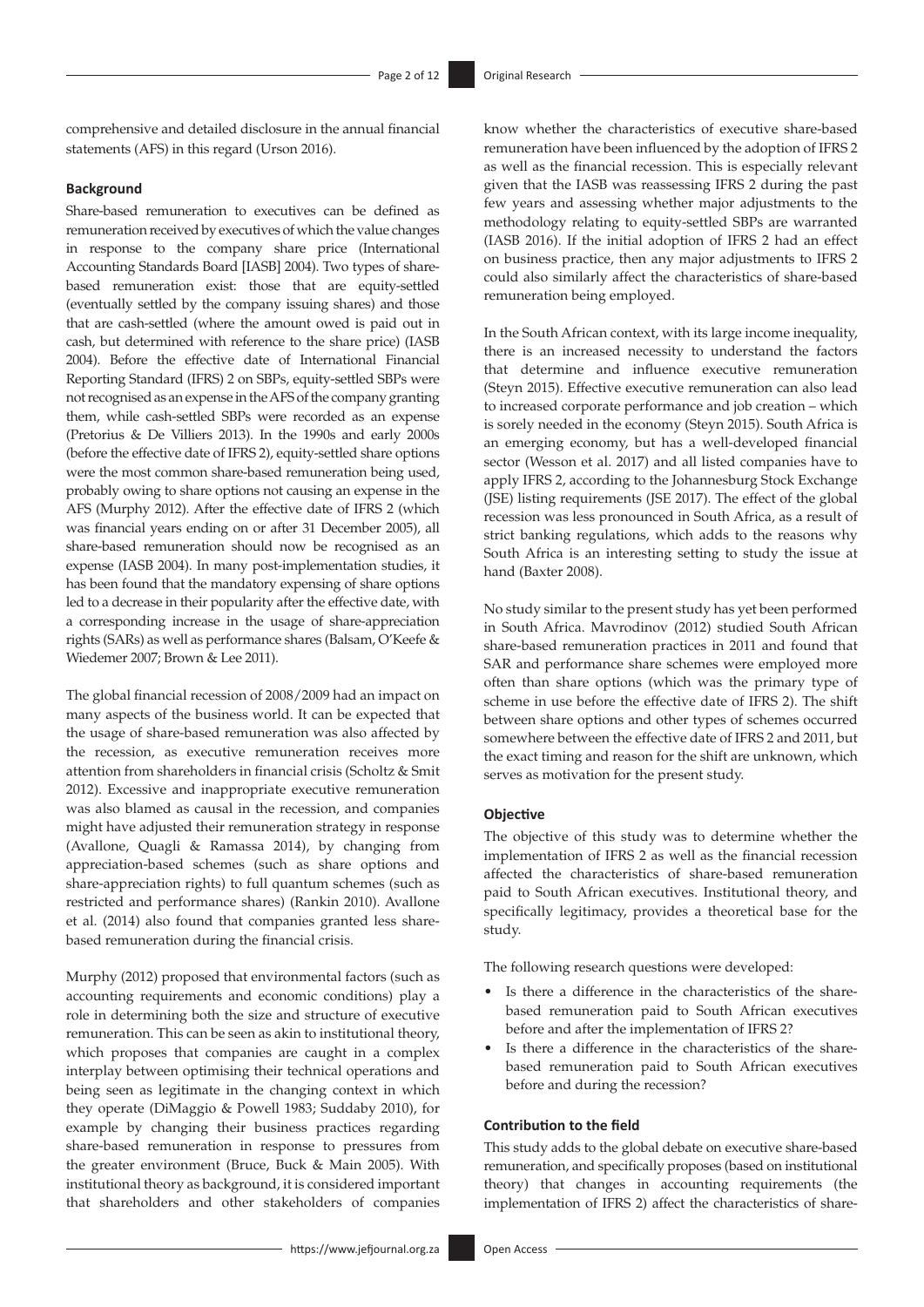comprehensive and detailed disclosure in the annual financial statements (AFS) in this regard (Urson 2016).

#### **Background**

Share-based remuneration to executives can be defined as remuneration received by executives of which the value changes in response to the company share price (International Accounting Standards Board [IASB] 2004). Two types of sharebased remuneration exist: those that are equity-settled (eventually settled by the company issuing shares) and those that are cash-settled (where the amount owed is paid out in cash, but determined with reference to the share price) (IASB 2004). Before the effective date of International Financial Reporting Standard (IFRS) 2 on SBPs, equity-settled SBPs were not recognised as an expense in the AFS of the company granting them, while cash-settled SBPs were recorded as an expense (Pretorius & De Villiers 2013). In the 1990s and early 2000s (before the effective date of IFRS 2), equity-settled share options were the most common share-based remuneration being used, probably owing to share options not causing an expense in the AFS (Murphy 2012). After the effective date of IFRS 2 (which was financial years ending on or after 31 December 2005), all share-based remuneration should now be recognised as an expense (IASB 2004). In many post-implementation studies, it has been found that the mandatory expensing of share options led to a decrease in their popularity after the effective date, with a corresponding increase in the usage of share-appreciation rights (SARs) as well as performance shares (Balsam, O'Keefe & Wiedemer 2007; Brown & Lee 2011).

The global financial recession of 2008/2009 had an impact on many aspects of the business world. It can be expected that the usage of share-based remuneration was also affected by the recession, as executive remuneration receives more attention from shareholders in financial crisis (Scholtz & Smit 2012). Excessive and inappropriate executive remuneration was also blamed as causal in the recession, and companies might have adjusted their remuneration strategy in response (Avallone, Quagli & Ramassa 2014), by changing from appreciation-based schemes (such as share options and share-appreciation rights) to full quantum schemes (such as restricted and performance shares) (Rankin 2010). Avallone et al. (2014) also found that companies granted less sharebased remuneration during the financial crisis.

Murphy (2012) proposed that environmental factors (such as accounting requirements and economic conditions) play a role in determining both the size and structure of executive remuneration. This can be seen as akin to institutional theory, which proposes that companies are caught in a complex interplay between optimising their technical operations and being seen as legitimate in the changing context in which they operate (DiMaggio & Powell 1983; Suddaby 2010), for example by changing their business practices regarding share-based remuneration in response to pressures from the greater environment (Bruce, Buck & Main 2005). With institutional theory as background, it is considered important that shareholders and other stakeholders of companies

know whether the characteristics of executive share-based remuneration have been influenced by the adoption of IFRS 2 as well as the financial recession. This is especially relevant given that the IASB was reassessing IFRS 2 during the past few years and assessing whether major adjustments to the methodology relating to equity-settled SBPs are warranted (IASB 2016). If the initial adoption of IFRS 2 had an effect on business practice, then any major adjustments to IFRS 2 could also similarly affect the characteristics of share-based remuneration being employed.

In the South African context, with its large income inequality, there is an increased necessity to understand the factors that determine and influence executive remuneration (Steyn 2015). Effective executive remuneration can also lead to increased corporate performance and job creation – which is sorely needed in the economy (Steyn 2015). South Africa is an emerging economy, but has a well-developed financial sector (Wesson et al. 2017) and all listed companies have to apply IFRS 2, according to the Johannesburg Stock Exchange (JSE) listing requirements (JSE 2017). The effect of the global recession was less pronounced in South Africa, as a result of strict banking regulations, which adds to the reasons why South Africa is an interesting setting to study the issue at hand (Baxter 2008).

No study similar to the present study has yet been performed in South Africa. Mavrodinov (2012) studied South African share-based remuneration practices in 2011 and found that SAR and performance share schemes were employed more often than share options (which was the primary type of scheme in use before the effective date of IFRS 2). The shift between share options and other types of schemes occurred somewhere between the effective date of IFRS 2 and 2011, but the exact timing and reason for the shift are unknown, which serves as motivation for the present study.

#### **Objective**

The objective of this study was to determine whether the implementation of IFRS 2 as well as the financial recession affected the characteristics of share-based remuneration paid to South African executives. Institutional theory, and specifically legitimacy, provides a theoretical base for the study.

The following research questions were developed:

- Is there a difference in the characteristics of the sharebased remuneration paid to South African executives before and after the implementation of IFRS 2?
- Is there a difference in the characteristics of the sharebased remuneration paid to South African executives before and during the recession?

#### **Contribution to the field**

This study adds to the global debate on executive share-based remuneration, and specifically proposes (based on institutional theory) that changes in accounting requirements (the implementation of IFRS 2) affect the characteristics of share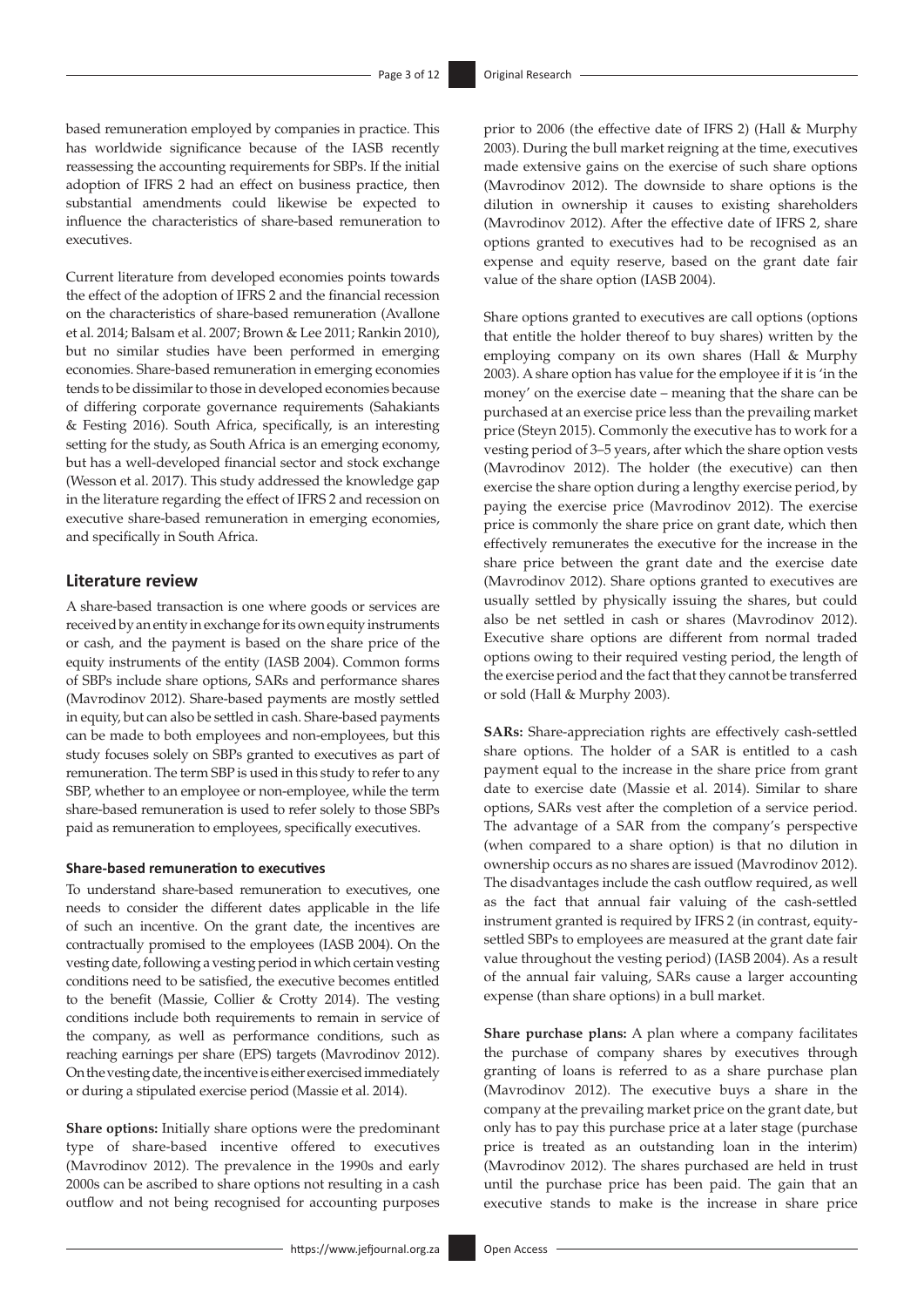based remuneration employed by companies in practice. This has worldwide significance because of the IASB recently reassessing the accounting requirements for SBPs. If the initial adoption of IFRS 2 had an effect on business practice, then substantial amendments could likewise be expected to influence the characteristics of share-based remuneration to executives.

Current literature from developed economies points towards the effect of the adoption of IFRS 2 and the financial recession on the characteristics of share-based remuneration (Avallone et al. 2014; Balsam et al. 2007; Brown & Lee 2011; Rankin 2010), but no similar studies have been performed in emerging economies. Share-based remuneration in emerging economies tends to be dissimilar to those in developed economies because of differing corporate governance requirements (Sahakiants & Festing 2016). South Africa, specifically, is an interesting setting for the study, as South Africa is an emerging economy, but has a well-developed financial sector and stock exchange (Wesson et al. 2017). This study addressed the knowledge gap in the literature regarding the effect of IFRS 2 and recession on executive share-based remuneration in emerging economies, and specifically in South Africa.

#### **Literature review**

A share-based transaction is one where goods or services are received by an entity in exchange for its own equity instruments or cash, and the payment is based on the share price of the equity instruments of the entity (IASB 2004). Common forms of SBPs include share options, SARs and performance shares (Mavrodinov 2012). Share-based payments are mostly settled in equity, but can also be settled in cash. Share-based payments can be made to both employees and non-employees, but this study focuses solely on SBPs granted to executives as part of remuneration. The term SBP is used in this study to refer to any SBP, whether to an employee or non-employee, while the term share-based remuneration is used to refer solely to those SBPs paid as remuneration to employees, specifically executives.

#### **Share-based remuneration to executives**

To understand share-based remuneration to executives, one needs to consider the different dates applicable in the life of such an incentive. On the grant date, the incentives are contractually promised to the employees (IASB 2004). On the vesting date, following a vesting period in which certain vesting conditions need to be satisfied, the executive becomes entitled to the benefit (Massie, Collier & Crotty 2014). The vesting conditions include both requirements to remain in service of the company, as well as performance conditions, such as reaching earnings per share (EPS) targets (Mavrodinov 2012). On the vesting date, the incentive is either exercised immediately or during a stipulated exercise period (Massie et al. 2014).

**Share options:** Initially share options were the predominant type of share-based incentive offered to executives (Mavrodinov 2012). The prevalence in the 1990s and early 2000s can be ascribed to share options not resulting in a cash outflow and not being recognised for accounting purposes

prior to 2006 (the effective date of IFRS 2) (Hall & Murphy 2003). During the bull market reigning at the time, executives made extensive gains on the exercise of such share options (Mavrodinov 2012). The downside to share options is the dilution in ownership it causes to existing shareholders (Mavrodinov 2012). After the effective date of IFRS 2, share options granted to executives had to be recognised as an expense and equity reserve, based on the grant date fair value of the share option (IASB 2004).

Share options granted to executives are call options (options that entitle the holder thereof to buy shares) written by the employing company on its own shares (Hall & Murphy 2003). A share option has value for the employee if it is 'in the money' on the exercise date – meaning that the share can be purchased at an exercise price less than the prevailing market price (Steyn 2015). Commonly the executive has to work for a vesting period of 3–5 years, after which the share option vests (Mavrodinov 2012). The holder (the executive) can then exercise the share option during a lengthy exercise period, by paying the exercise price (Mavrodinov 2012). The exercise price is commonly the share price on grant date, which then effectively remunerates the executive for the increase in the share price between the grant date and the exercise date (Mavrodinov 2012). Share options granted to executives are usually settled by physically issuing the shares, but could also be net settled in cash or shares (Mavrodinov 2012). Executive share options are different from normal traded options owing to their required vesting period, the length of the exercise period and the fact that they cannot be transferred or sold (Hall & Murphy 2003).

**SARs:** Share-appreciation rights are effectively cash-settled share options. The holder of a SAR is entitled to a cash payment equal to the increase in the share price from grant date to exercise date (Massie et al. 2014). Similar to share options, SARs vest after the completion of a service period. The advantage of a SAR from the company's perspective (when compared to a share option) is that no dilution in ownership occurs as no shares are issued (Mavrodinov 2012). The disadvantages include the cash outflow required, as well as the fact that annual fair valuing of the cash-settled instrument granted is required by IFRS 2 (in contrast, equitysettled SBPs to employees are measured at the grant date fair value throughout the vesting period) (IASB 2004). As a result of the annual fair valuing, SARs cause a larger accounting expense (than share options) in a bull market.

**Share purchase plans:** A plan where a company facilitates the purchase of company shares by executives through granting of loans is referred to as a share purchase plan (Mavrodinov 2012). The executive buys a share in the company at the prevailing market price on the grant date, but only has to pay this purchase price at a later stage (purchase price is treated as an outstanding loan in the interim) (Mavrodinov 2012). The shares purchased are held in trust until the purchase price has been paid. The gain that an executive stands to make is the increase in share price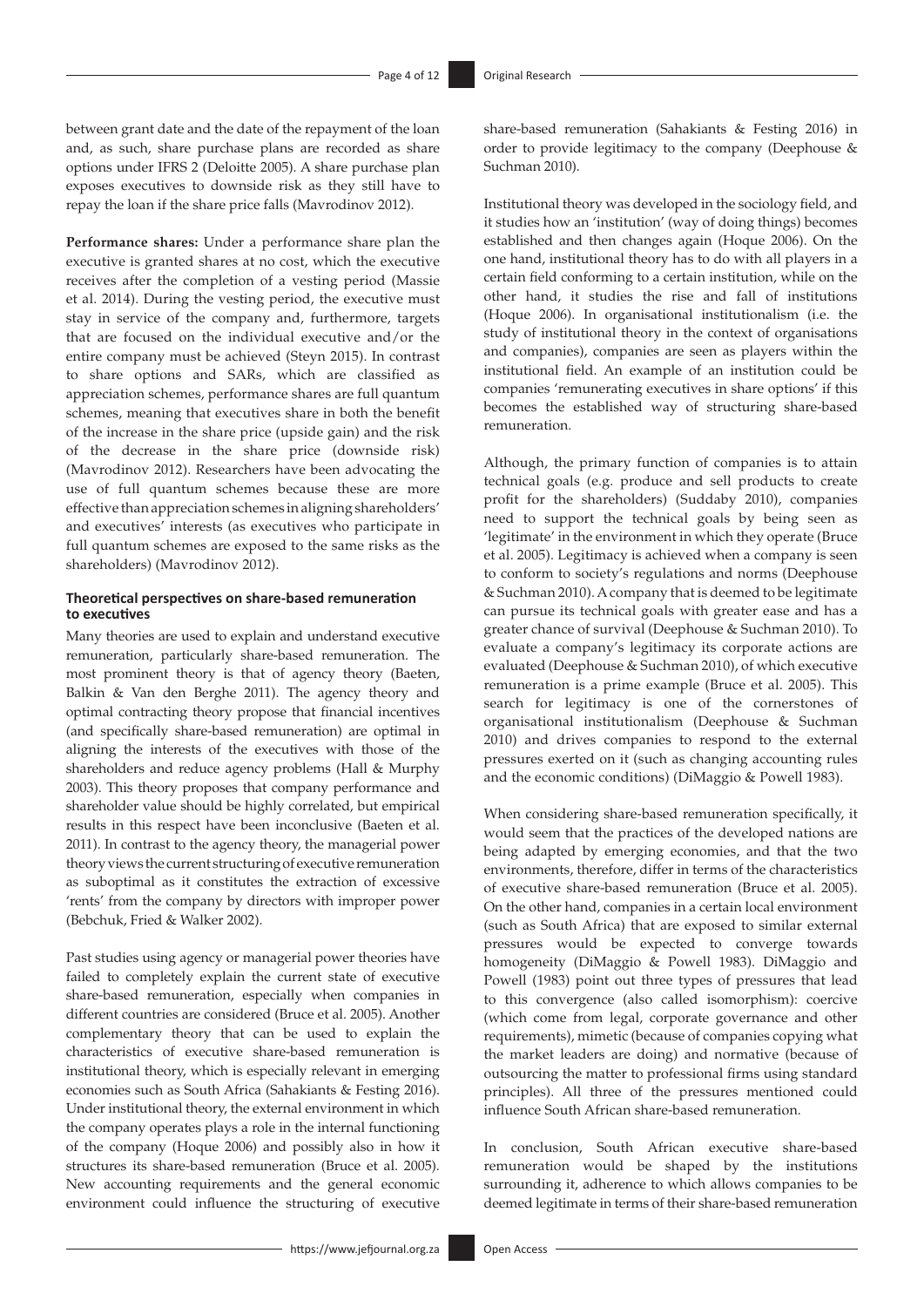between grant date and the date of the repayment of the loan and, as such, share purchase plans are recorded as share options under IFRS 2 (Deloitte 2005). A share purchase plan exposes executives to downside risk as they still have to repay the loan if the share price falls (Mavrodinov 2012).

**Performance shares:** Under a performance share plan the executive is granted shares at no cost, which the executive receives after the completion of a vesting period (Massie et al. 2014). During the vesting period, the executive must stay in service of the company and, furthermore, targets that are focused on the individual executive and/or the entire company must be achieved (Steyn 2015). In contrast to share options and SARs, which are classified as appreciation schemes, performance shares are full quantum schemes, meaning that executives share in both the benefit of the increase in the share price (upside gain) and the risk of the decrease in the share price (downside risk) (Mavrodinov 2012). Researchers have been advocating the use of full quantum schemes because these are more effective than appreciation schemes in aligning shareholders' and executives' interests (as executives who participate in full quantum schemes are exposed to the same risks as the shareholders) (Mavrodinov 2012).

#### **Theoretical perspectives on share-based remuneration to executives**

Many theories are used to explain and understand executive remuneration, particularly share-based remuneration. The most prominent theory is that of agency theory (Baeten, Balkin & Van den Berghe 2011). The agency theory and optimal contracting theory propose that financial incentives (and specifically share-based remuneration) are optimal in aligning the interests of the executives with those of the shareholders and reduce agency problems (Hall & Murphy 2003). This theory proposes that company performance and shareholder value should be highly correlated, but empirical results in this respect have been inconclusive (Baeten et al. 2011). In contrast to the agency theory, the managerial power theory views the current structuring of executive remuneration as suboptimal as it constitutes the extraction of excessive 'rents' from the company by directors with improper power (Bebchuk, Fried & Walker 2002).

Past studies using agency or managerial power theories have failed to completely explain the current state of executive share-based remuneration, especially when companies in different countries are considered (Bruce et al. 2005). Another complementary theory that can be used to explain the characteristics of executive share-based remuneration is institutional theory, which is especially relevant in emerging economies such as South Africa (Sahakiants & Festing 2016). Under institutional theory, the external environment in which the company operates plays a role in the internal functioning of the company (Hoque 2006) and possibly also in how it structures its share-based remuneration (Bruce et al. 2005). New accounting requirements and the general economic environment could influence the structuring of executive

share-based remuneration (Sahakiants & Festing 2016) in order to provide legitimacy to the company (Deephouse & Suchman 2010).

Institutional theory was developed in the sociology field, and it studies how an 'institution' (way of doing things) becomes established and then changes again (Hoque 2006). On the one hand, institutional theory has to do with all players in a certain field conforming to a certain institution, while on the other hand, it studies the rise and fall of institutions (Hoque 2006). In organisational institutionalism (i.e. the study of institutional theory in the context of organisations and companies), companies are seen as players within the institutional field. An example of an institution could be companies 'remunerating executives in share options' if this becomes the established way of structuring share-based remuneration.

Although, the primary function of companies is to attain technical goals (e.g. produce and sell products to create profit for the shareholders) (Suddaby 2010), companies need to support the technical goals by being seen as 'legitimate' in the environment in which they operate (Bruce et al. 2005). Legitimacy is achieved when a company is seen to conform to society's regulations and norms (Deephouse & Suchman 2010). A company that is deemed to be legitimate can pursue its technical goals with greater ease and has a greater chance of survival (Deephouse & Suchman 2010). To evaluate a company's legitimacy its corporate actions are evaluated (Deephouse & Suchman 2010), of which executive remuneration is a prime example (Bruce et al. 2005). This search for legitimacy is one of the cornerstones of organisational institutionalism (Deephouse & Suchman 2010) and drives companies to respond to the external pressures exerted on it (such as changing accounting rules and the economic conditions) (DiMaggio & Powell 1983).

When considering share-based remuneration specifically, it would seem that the practices of the developed nations are being adapted by emerging economies, and that the two environments, therefore, differ in terms of the characteristics of executive share-based remuneration (Bruce et al. 2005). On the other hand, companies in a certain local environment (such as South Africa) that are exposed to similar external pressures would be expected to converge towards homogeneity (DiMaggio & Powell 1983). DiMaggio and Powell (1983) point out three types of pressures that lead to this convergence (also called isomorphism): coercive (which come from legal, corporate governance and other requirements), mimetic (because of companies copying what the market leaders are doing) and normative (because of outsourcing the matter to professional firms using standard principles). All three of the pressures mentioned could influence South African share-based remuneration.

In conclusion, South African executive share-based remuneration would be shaped by the institutions surrounding it, adherence to which allows companies to be deemed legitimate in terms of their share-based remuneration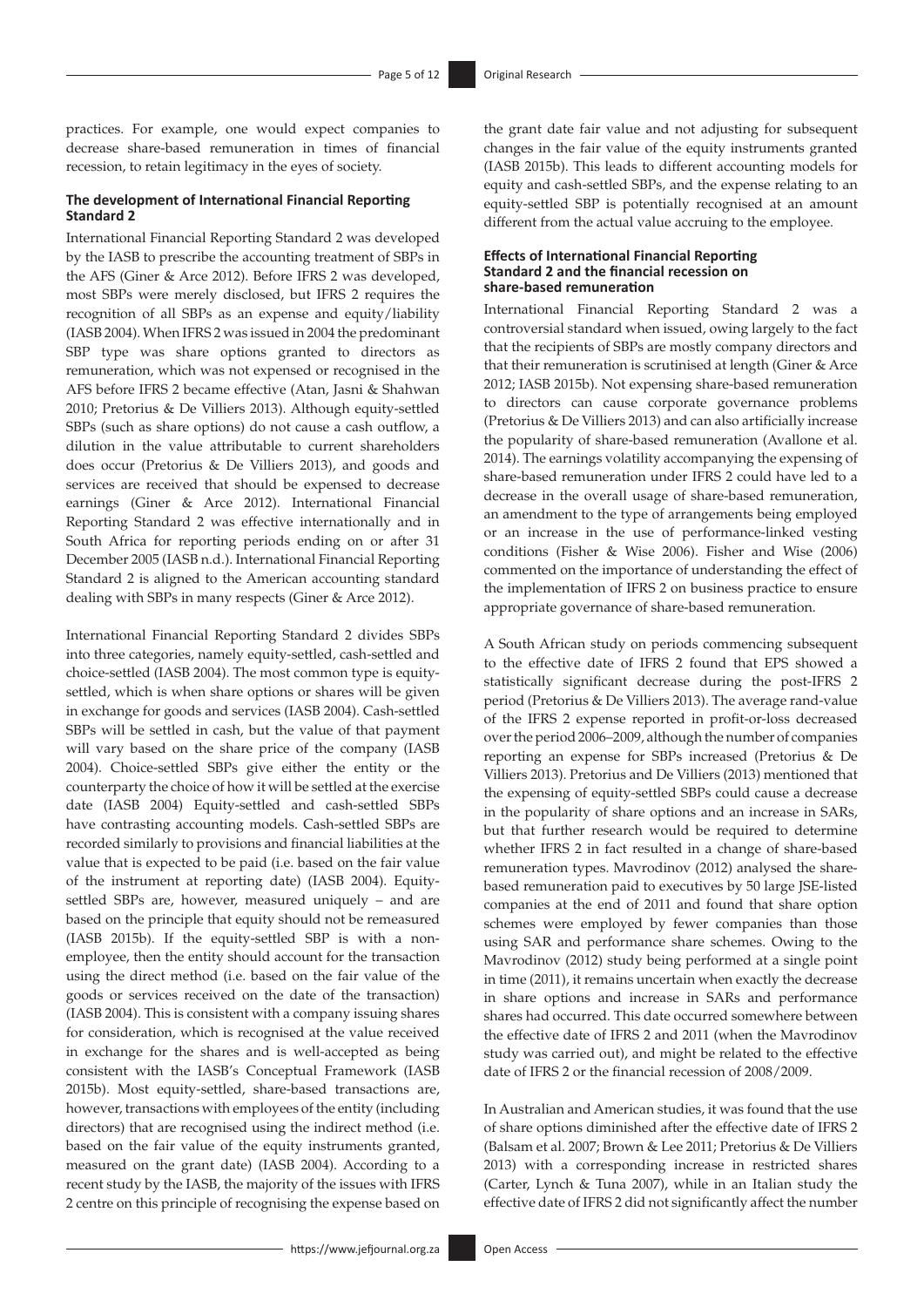practices. For example, one would expect companies to decrease share-based remuneration in times of financial recession, to retain legitimacy in the eyes of society.

#### **The development of International Financial Reporting Standard 2**

International Financial Reporting Standard 2 was developed by the IASB to prescribe the accounting treatment of SBPs in the AFS (Giner & Arce 2012). Before IFRS 2 was developed, most SBPs were merely disclosed, but IFRS 2 requires the recognition of all SBPs as an expense and equity/liability (IASB 2004). When IFRS 2 was issued in 2004 the predominant SBP type was share options granted to directors as remuneration, which was not expensed or recognised in the AFS before IFRS 2 became effective (Atan, Jasni & Shahwan 2010; Pretorius & De Villiers 2013). Although equity-settled SBPs (such as share options) do not cause a cash outflow, a dilution in the value attributable to current shareholders does occur (Pretorius & De Villiers 2013), and goods and services are received that should be expensed to decrease earnings (Giner & Arce 2012). International Financial Reporting Standard 2 was effective internationally and in South Africa for reporting periods ending on or after 31 December 2005 (IASB n.d.). International Financial Reporting Standard 2 is aligned to the American accounting standard dealing with SBPs in many respects (Giner & Arce 2012).

International Financial Reporting Standard 2 divides SBPs into three categories, namely equity-settled, cash-settled and choice-settled (IASB 2004). The most common type is equitysettled, which is when share options or shares will be given in exchange for goods and services (IASB 2004). Cash-settled SBPs will be settled in cash, but the value of that payment will vary based on the share price of the company (IASB 2004). Choice-settled SBPs give either the entity or the counterparty the choice of how it will be settled at the exercise date (IASB 2004) Equity-settled and cash-settled SBPs have contrasting accounting models. Cash-settled SBPs are recorded similarly to provisions and financial liabilities at the value that is expected to be paid (i.e. based on the fair value of the instrument at reporting date) (IASB 2004). Equitysettled SBPs are, however, measured uniquely – and are based on the principle that equity should not be remeasured (IASB 2015b). If the equity-settled SBP is with a nonemployee, then the entity should account for the transaction using the direct method (i.e. based on the fair value of the goods or services received on the date of the transaction) (IASB 2004). This is consistent with a company issuing shares for consideration, which is recognised at the value received in exchange for the shares and is well-accepted as being consistent with the IASB's Conceptual Framework (IASB 2015b). Most equity-settled, share-based transactions are, however, transactions with employees of the entity (including directors) that are recognised using the indirect method (i.e. based on the fair value of the equity instruments granted, measured on the grant date) (IASB 2004). According to a recent study by the IASB, the majority of the issues with IFRS 2 centre on this principle of recognising the expense based on

the grant date fair value and not adjusting for subsequent changes in the fair value of the equity instruments granted (IASB 2015b). This leads to different accounting models for equity and cash-settled SBPs, and the expense relating to an equity-settled SBP is potentially recognised at an amount different from the actual value accruing to the employee.

#### **Effects of International Financial Reporting Standard 2 and the financial recession on share-based remuneration**

International Financial Reporting Standard 2 was a controversial standard when issued, owing largely to the fact that the recipients of SBPs are mostly company directors and that their remuneration is scrutinised at length (Giner & Arce 2012; IASB 2015b). Not expensing share-based remuneration to directors can cause corporate governance problems (Pretorius & De Villiers 2013) and can also artificially increase the popularity of share-based remuneration (Avallone et al. 2014). The earnings volatility accompanying the expensing of share-based remuneration under IFRS 2 could have led to a decrease in the overall usage of share-based remuneration, an amendment to the type of arrangements being employed or an increase in the use of performance-linked vesting conditions (Fisher & Wise 2006). Fisher and Wise (2006) commented on the importance of understanding the effect of the implementation of IFRS 2 on business practice to ensure appropriate governance of share-based remuneration.

A South African study on periods commencing subsequent to the effective date of IFRS 2 found that EPS showed a statistically significant decrease during the post-IFRS 2 period (Pretorius & De Villiers 2013). The average rand-value of the IFRS 2 expense reported in profit-or-loss decreased over the period 2006–2009, although the number of companies reporting an expense for SBPs increased (Pretorius & De Villiers 2013). Pretorius and De Villiers (2013) mentioned that the expensing of equity-settled SBPs could cause a decrease in the popularity of share options and an increase in SARs, but that further research would be required to determine whether IFRS 2 in fact resulted in a change of share-based remuneration types. Mavrodinov (2012) analysed the sharebased remuneration paid to executives by 50 large JSE-listed companies at the end of 2011 and found that share option schemes were employed by fewer companies than those using SAR and performance share schemes. Owing to the Mavrodinov (2012) study being performed at a single point in time (2011), it remains uncertain when exactly the decrease in share options and increase in SARs and performance shares had occurred. This date occurred somewhere between the effective date of IFRS 2 and 2011 (when the Mavrodinov study was carried out), and might be related to the effective date of IFRS 2 or the financial recession of 2008/2009.

In Australian and American studies, it was found that the use of share options diminished after the effective date of IFRS 2 (Balsam et al. 2007; Brown & Lee 2011; Pretorius & De Villiers 2013) with a corresponding increase in restricted shares (Carter, Lynch & Tuna 2007), while in an Italian study the effective date of IFRS 2 did not significantly affect the number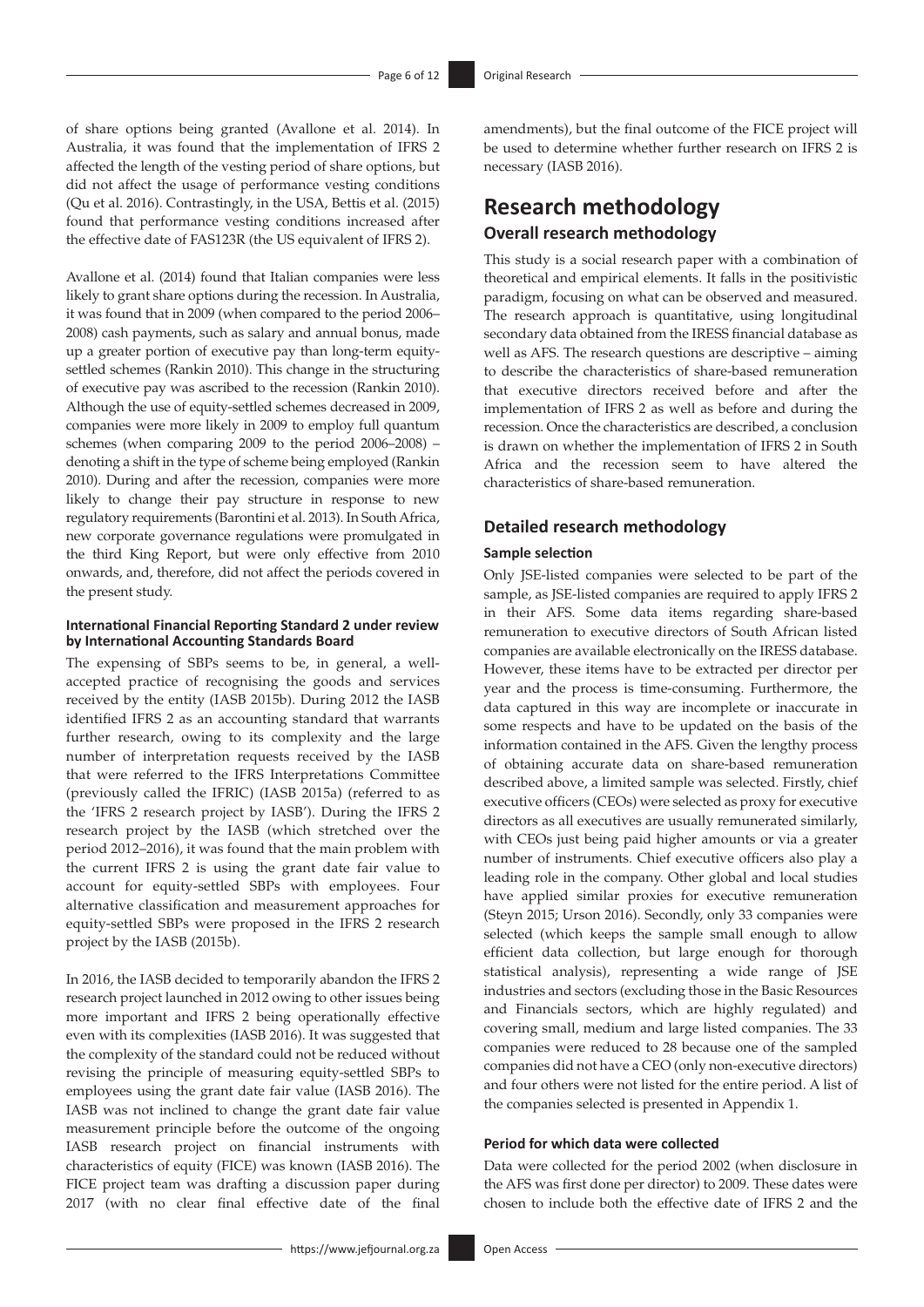of share options being granted (Avallone et al. 2014). In Australia, it was found that the implementation of IFRS 2 affected the length of the vesting period of share options, but did not affect the usage of performance vesting conditions (Qu et al. 2016). Contrastingly, in the USA, Bettis et al. (2015) found that performance vesting conditions increased after the effective date of FAS123R (the US equivalent of IFRS 2).

Avallone et al. (2014) found that Italian companies were less likely to grant share options during the recession. In Australia, it was found that in 2009 (when compared to the period 2006– 2008) cash payments, such as salary and annual bonus, made up a greater portion of executive pay than long-term equitysettled schemes (Rankin 2010). This change in the structuring of executive pay was ascribed to the recession (Rankin 2010). Although the use of equity-settled schemes decreased in 2009, companies were more likely in 2009 to employ full quantum schemes (when comparing 2009 to the period 2006–2008) – denoting a shift in the type of scheme being employed (Rankin 2010). During and after the recession, companies were more likely to change their pay structure in response to new regulatory requirements (Barontini et al. 2013). In South Africa, new corporate governance regulations were promulgated in the third King Report, but were only effective from 2010 onwards, and, therefore, did not affect the periods covered in the present study.

#### **International Financial Reporting Standard 2 under review by International Accounting Standards Board**

The expensing of SBPs seems to be, in general, a wellaccepted practice of recognising the goods and services received by the entity (IASB 2015b). During 2012 the IASB identified IFRS 2 as an accounting standard that warrants further research, owing to its complexity and the large number of interpretation requests received by the IASB that were referred to the IFRS Interpretations Committee (previously called the IFRIC) (IASB 2015a) (referred to as the 'IFRS 2 research project by IASB'). During the IFRS 2 research project by the IASB (which stretched over the period 2012–2016), it was found that the main problem with the current IFRS 2 is using the grant date fair value to account for equity-settled SBPs with employees. Four alternative classification and measurement approaches for equity-settled SBPs were proposed in the IFRS 2 research project by the IASB (2015b).

In 2016, the IASB decided to temporarily abandon the IFRS 2 research project launched in 2012 owing to other issues being more important and IFRS 2 being operationally effective even with its complexities (IASB 2016). It was suggested that the complexity of the standard could not be reduced without revising the principle of measuring equity-settled SBPs to employees using the grant date fair value (IASB 2016). The IASB was not inclined to change the grant date fair value measurement principle before the outcome of the ongoing IASB research project on financial instruments with characteristics of equity (FICE) was known (IASB 2016). The FICE project team was drafting a discussion paper during 2017 (with no clear final effective date of the final

amendments), but the final outcome of the FICE project will be used to determine whether further research on IFRS 2 is necessary (IASB 2016).

### **Research methodology Overall research methodology**

This study is a social research paper with a combination of theoretical and empirical elements. It falls in the positivistic paradigm, focusing on what can be observed and measured. The research approach is quantitative, using longitudinal secondary data obtained from the IRESS financial database as well as AFS. The research questions are descriptive – aiming to describe the characteristics of share-based remuneration that executive directors received before and after the implementation of IFRS 2 as well as before and during the recession. Once the characteristics are described, a conclusion is drawn on whether the implementation of IFRS 2 in South Africa and the recession seem to have altered the characteristics of share-based remuneration.

#### **Detailed research methodology**

#### **Sample selection**

Only JSE-listed companies were selected to be part of the sample, as JSE-listed companies are required to apply IFRS 2 in their AFS. Some data items regarding share-based remuneration to executive directors of South African listed companies are available electronically on the IRESS database. However, these items have to be extracted per director per year and the process is time-consuming. Furthermore, the data captured in this way are incomplete or inaccurate in some respects and have to be updated on the basis of the information contained in the AFS. Given the lengthy process of obtaining accurate data on share-based remuneration described above, a limited sample was selected. Firstly, chief executive officers (CEOs) were selected as proxy for executive directors as all executives are usually remunerated similarly, with CEOs just being paid higher amounts or via a greater number of instruments. Chief executive officers also play a leading role in the company. Other global and local studies have applied similar proxies for executive remuneration (Steyn 2015; Urson 2016). Secondly, only 33 companies were selected (which keeps the sample small enough to allow efficient data collection, but large enough for thorough statistical analysis), representing a wide range of JSE industries and sectors (excluding those in the Basic Resources and Financials sectors, which are highly regulated) and covering small, medium and large listed companies. The 33 companies were reduced to 28 because one of the sampled companies did not have a CEO (only non-executive directors) and four others were not listed for the entire period. A list of the companies selected is presented in Appendix 1.

#### **Period for which data were collected**

Data were collected for the period 2002 (when disclosure in the AFS was first done per director) to 2009. These dates were chosen to include both the effective date of IFRS 2 and the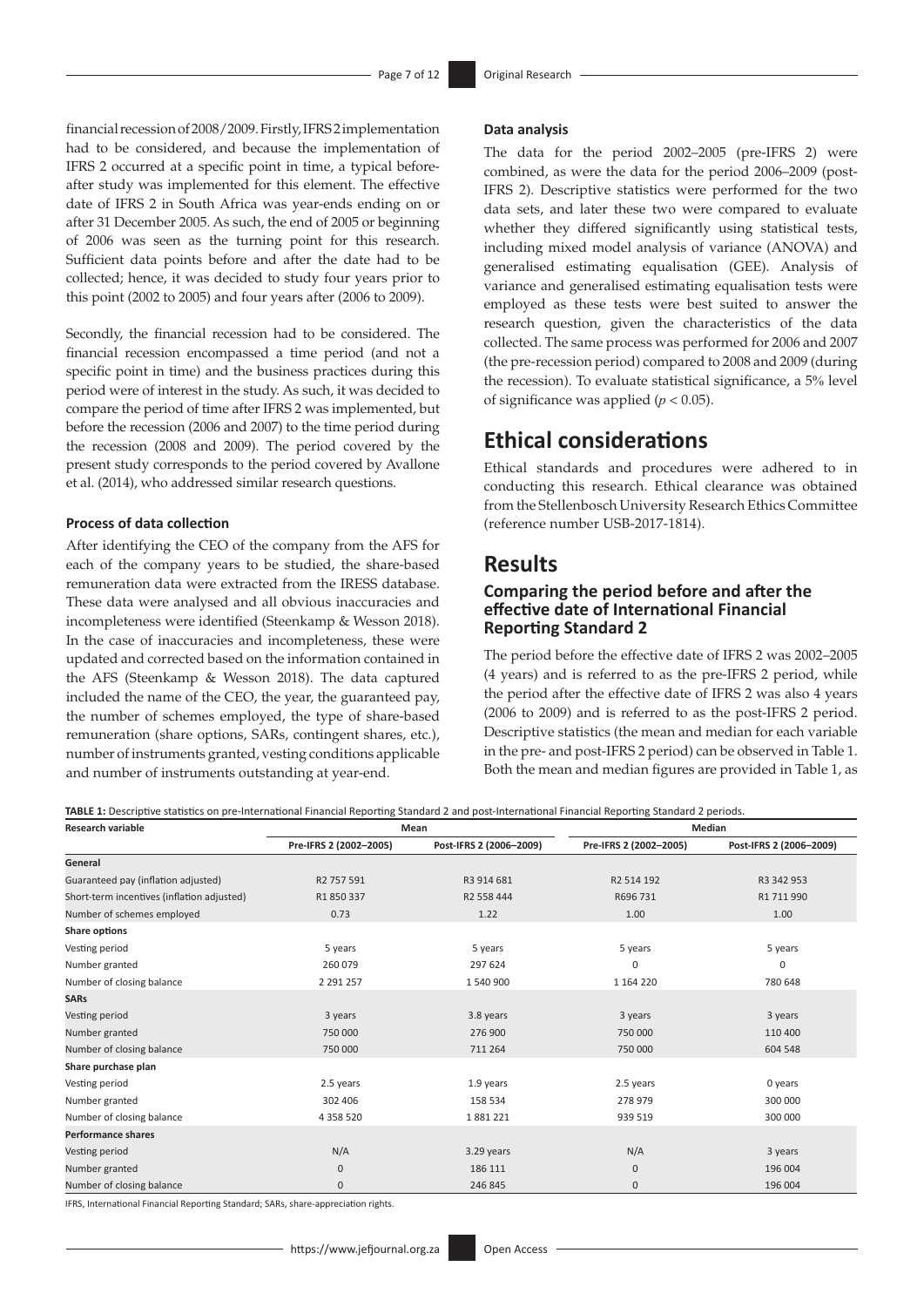financial recession of 2008/2009. Firstly, IFRS 2 implementation had to be considered, and because the implementation of IFRS 2 occurred at a specific point in time, a typical beforeafter study was implemented for this element. The effective date of IFRS 2 in South Africa was year-ends ending on or after 31 December 2005. As such, the end of 2005 or beginning of 2006 was seen as the turning point for this research. Sufficient data points before and after the date had to be collected; hence, it was decided to study four years prior to this point (2002 to 2005) and four years after (2006 to 2009).

Secondly, the financial recession had to be considered. The financial recession encompassed a time period (and not a specific point in time) and the business practices during this period were of interest in the study. As such, it was decided to compare the period of time after IFRS 2 was implemented, but before the recession (2006 and 2007) to the time period during the recession (2008 and 2009). The period covered by the present study corresponds to the period covered by Avallone et al. (2014), who addressed similar research questions.

#### **Process of data collection**

After identifying the CEO of the company from the AFS for each of the company years to be studied, the share-based remuneration data were extracted from the IRESS database. These data were analysed and all obvious inaccuracies and incompleteness were identified (Steenkamp & Wesson 2018). In the case of inaccuracies and incompleteness, these were updated and corrected based on the information contained in the AFS (Steenkamp & Wesson 2018). The data captured included the name of the CEO, the year, the guaranteed pay, the number of schemes employed, the type of share-based remuneration (share options, SARs, contingent shares, etc.), number of instruments granted, vesting conditions applicable and number of instruments outstanding at year-end.

#### **Data analysis**

The data for the period 2002–2005 (pre-IFRS 2) were combined, as were the data for the period 2006–2009 (post-IFRS 2). Descriptive statistics were performed for the two data sets, and later these two were compared to evaluate whether they differed significantly using statistical tests, including mixed model analysis of variance (ANOVA) and generalised estimating equalisation (GEE). Analysis of variance and generalised estimating equalisation tests were employed as these tests were best suited to answer the research question, given the characteristics of the data collected. The same process was performed for 2006 and 2007 (the pre-recession period) compared to 2008 and 2009 (during the recession). To evaluate statistical significance, a 5% level of significance was applied ( $p < 0.05$ ).

### **Ethical considerations**

Ethical standards and procedures were adhered to in conducting this research. Ethical clearance was obtained from the Stellenbosch University Research Ethics Committee (reference number USB-2017-1814).

### **Results**

#### **Comparing the period before and after the effective date of International Financial Reporting Standard 2**

The period before the effective date of IFRS 2 was 2002–2005 (4 years) and is referred to as the pre-IFRS 2 period, while the period after the effective date of IFRS 2 was also 4 years (2006 to 2009) and is referred to as the post-IFRS 2 period. Descriptive statistics (the mean and median for each variable in the pre- and post-IFRS 2 period) can be observed in Table 1. Both the mean and median figures are provided in Table 1, as

**TABLE 1:** Descriptive statistics on pre-International Financial Reporting Standard 2 and post-International Financial Reporting Standard 2 periods.

| <b>Research variable</b>                   | Mean                   |                         | Median                 |                         |  |
|--------------------------------------------|------------------------|-------------------------|------------------------|-------------------------|--|
|                                            | Pre-IFRS 2 (2002-2005) | Post-IFRS 2 (2006-2009) | Pre-IFRS 2 (2002-2005) | Post-IFRS 2 (2006-2009) |  |
| General                                    |                        |                         |                        |                         |  |
| Guaranteed pay (inflation adjusted)        | R2 757 591             | R3 914 681              | R2 514 192             | R3 342 953              |  |
| Short-term incentives (inflation adjusted) | R1 850 337             | R2 558 444              | R696 731               | R1 711 990              |  |
| Number of schemes employed                 | 0.73                   | 1.22                    | 1.00                   | 1.00                    |  |
| Share options                              |                        |                         |                        |                         |  |
| Vesting period                             | 5 years                | 5 years                 | 5 years                | 5 years                 |  |
| Number granted                             | 260 079                | 297 624                 | 0                      | $\mathbf 0$             |  |
| Number of closing balance                  | 2 2 9 1 2 5 7          | 1540900                 | 1 164 220              | 780 648                 |  |
| <b>SARs</b>                                |                        |                         |                        |                         |  |
| Vesting period                             | 3 years                | 3.8 years               | 3 years                | 3 years                 |  |
| Number granted                             | 750 000                | 276 900                 | 750 000                | 110 400                 |  |
| Number of closing balance                  | 750 000                | 711 264                 | 750 000                | 604 548                 |  |
| Share purchase plan                        |                        |                         |                        |                         |  |
| Vesting period                             | 2.5 years              | 1.9 years               | 2.5 years              | 0 years                 |  |
| Number granted                             | 302 406                |                         | 278 979                | 300 000                 |  |
| Number of closing balance                  | 4 3 5 8 5 2 0          | 1881221                 | 939 519                | 300 000                 |  |
| <b>Performance shares</b>                  |                        |                         |                        |                         |  |
| Vesting period                             | N/A                    | 3.29 years              | N/A                    | 3 years                 |  |
| Number granted                             | 0                      | 186 111                 | $\mathbf{0}$           | 196 004                 |  |
| Number of closing balance                  | 0                      | 246 845                 | 0                      | 196 004                 |  |

IFRS, International Financial Reporting Standard; SARs, share-appreciation rights.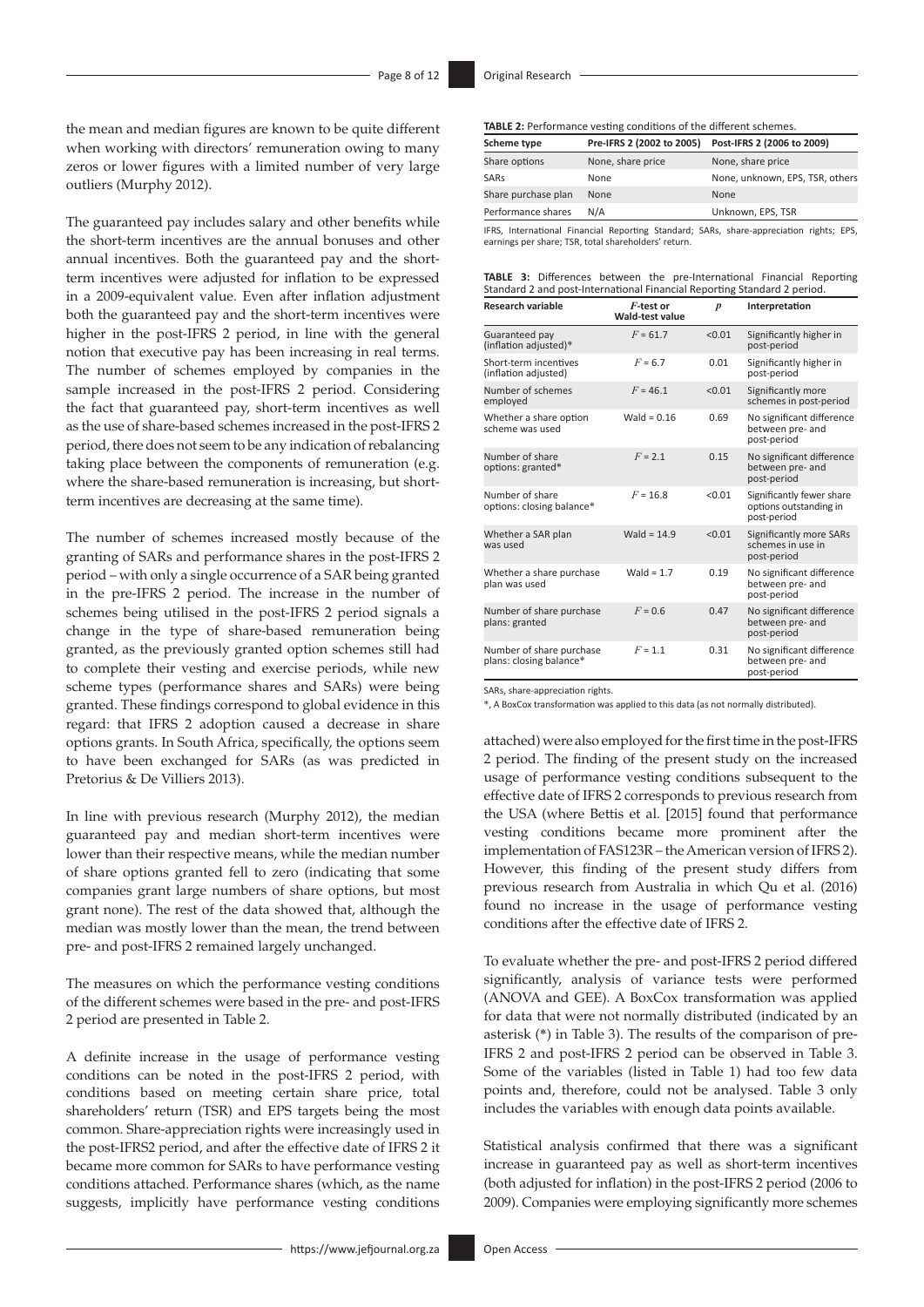the mean and median figures are known to be quite different when working with directors' remuneration owing to many zeros or lower figures with a limited number of very large outliers (Murphy 2012).

The guaranteed pay includes salary and other benefits while the short-term incentives are the annual bonuses and other annual incentives. Both the guaranteed pay and the shortterm incentives were adjusted for inflation to be expressed in a 2009-equivalent value. Even after inflation adjustment both the guaranteed pay and the short-term incentives were higher in the post-IFRS 2 period, in line with the general notion that executive pay has been increasing in real terms. The number of schemes employed by companies in the sample increased in the post-IFRS 2 period. Considering the fact that guaranteed pay, short-term incentives as well as the use of share-based schemes increased in the post-IFRS 2 period, there does not seem to be any indication of rebalancing taking place between the components of remuneration (e.g. where the share-based remuneration is increasing, but shortterm incentives are decreasing at the same time).

The number of schemes increased mostly because of the granting of SARs and performance shares in the post-IFRS 2 period – with only a single occurrence of a SAR being granted in the pre-IFRS 2 period. The increase in the number of schemes being utilised in the post-IFRS 2 period signals a change in the type of share-based remuneration being granted, as the previously granted option schemes still had to complete their vesting and exercise periods, while new scheme types (performance shares and SARs) were being granted. These findings correspond to global evidence in this regard: that IFRS 2 adoption caused a decrease in share options grants. In South Africa, specifically, the options seem to have been exchanged for SARs (as was predicted in Pretorius & De Villiers 2013).

In line with previous research (Murphy 2012), the median guaranteed pay and median short-term incentives were lower than their respective means, while the median number of share options granted fell to zero (indicating that some companies grant large numbers of share options, but most grant none). The rest of the data showed that, although the median was mostly lower than the mean, the trend between pre- and post-IFRS 2 remained largely unchanged.

The measures on which the performance vesting conditions of the different schemes were based in the pre- and post-IFRS 2 period are presented in Table 2.

A definite increase in the usage of performance vesting conditions can be noted in the post-IFRS 2 period, with conditions based on meeting certain share price, total shareholders' return (TSR) and EPS targets being the most common. Share-appreciation rights were increasingly used in the post-IFRS2 period, and after the effective date of IFRS 2 it became more common for SARs to have performance vesting conditions attached. Performance shares (which, as the name suggests, implicitly have performance vesting conditions

| Scheme type         | Pre-IFRS 2 (2002 to 2005) | Post-IFRS 2 (2006 to 2009)                                                                  |  |  |  |  |
|---------------------|---------------------------|---------------------------------------------------------------------------------------------|--|--|--|--|
| Share options       | None, share price         | None, share price                                                                           |  |  |  |  |
| SARs                | None                      | None, unknown, EPS, TSR, others                                                             |  |  |  |  |
| Share purchase plan | None                      | None                                                                                        |  |  |  |  |
| Performance shares  | N/A                       | Unknown, EPS, TSR                                                                           |  |  |  |  |
|                     |                           | <b>IERS</b> International Financial Reporting Standard: SARs share-appreciation rights: FPS |  |  |  |  |

IFRS, International Financial Reporting Standard; SARs, share-appreciation rights; EPS, earnings per share; TSR, total shareholders' return.

|                                                                          |  |  |  |  | <b>TABLE 3:</b> Differences between the pre-International Financial Reporting |  |  |
|--------------------------------------------------------------------------|--|--|--|--|-------------------------------------------------------------------------------|--|--|
| Standard 2 and post-International Financial Reporting Standard 2 period. |  |  |  |  |                                                                               |  |  |

| <b>Research variable</b>                            | F-test or<br>Wald-test value | $\boldsymbol{p}$ | Interpretation                                                     |
|-----------------------------------------------------|------------------------------|------------------|--------------------------------------------------------------------|
| Guaranteed pay<br>(inflation adjusted)*             | $F = 61.7$                   | < 0.01           | Significantly higher in<br>post-period                             |
| Short-term incentives<br>(inflation adjusted)       | $F = 6.7$                    | 0.01             | Significantly higher in<br>post-period                             |
| Number of schemes<br>employed                       | $F = 46.1$                   | < 0.01           | Significantly more<br>schemes in post-period                       |
| Whether a share option<br>scheme was used           | Wald = $0.16$                | 0.69             | No significant difference<br>between pre- and<br>post-period       |
| Number of share<br>options: granted*                | $F = 2.1$                    | 0.15             | No significant difference<br>between pre- and<br>post-period       |
| Number of share<br>options: closing balance*        | $F = 16.8$                   | < 0.01           | Significantly fewer share<br>options outstanding in<br>post-period |
| Whether a SAR plan<br>was used                      | Wald = $14.9$                | < 0.01           | Significantly more SARs<br>schemes in use in<br>post-period        |
| Whether a share purchase<br>plan was used           | Wald = $1.7$                 | 0.19             | No significant difference<br>between pre- and<br>post-period       |
| Number of share purchase<br>plans: granted          | $F = 0.6$                    | 0.47             | No significant difference<br>between pre- and<br>post-period       |
| Number of share purchase<br>plans: closing balance* | $F = 1.1$                    | 0.31             | No significant difference<br>between pre- and<br>post-period       |

SARs, share-appreciation rights.

\*, A BoxCox transformation was applied to this data (as not normally distributed).

attached) were also employed for the first time in the post-IFRS 2 period. The finding of the present study on the increased usage of performance vesting conditions subsequent to the effective date of IFRS 2 corresponds to previous research from the USA (where Bettis et al. [2015] found that performance vesting conditions became more prominent after the implementation of FAS123R – the American version of IFRS 2). However, this finding of the present study differs from previous research from Australia in which Qu et al. (2016) found no increase in the usage of performance vesting conditions after the effective date of IFRS 2.

To evaluate whether the pre- and post-IFRS 2 period differed significantly, analysis of variance tests were performed (ANOVA and GEE). A BoxCox transformation was applied for data that were not normally distributed (indicated by an asterisk (\*) in Table 3). The results of the comparison of pre-IFRS 2 and post-IFRS 2 period can be observed in Table 3. Some of the variables (listed in Table 1) had too few data points and, therefore, could not be analysed. Table 3 only includes the variables with enough data points available.

Statistical analysis confirmed that there was a significant increase in guaranteed pay as well as short-term incentives (both adjusted for inflation) in the post-IFRS 2 period (2006 to 2009). Companies were employing significantly more schemes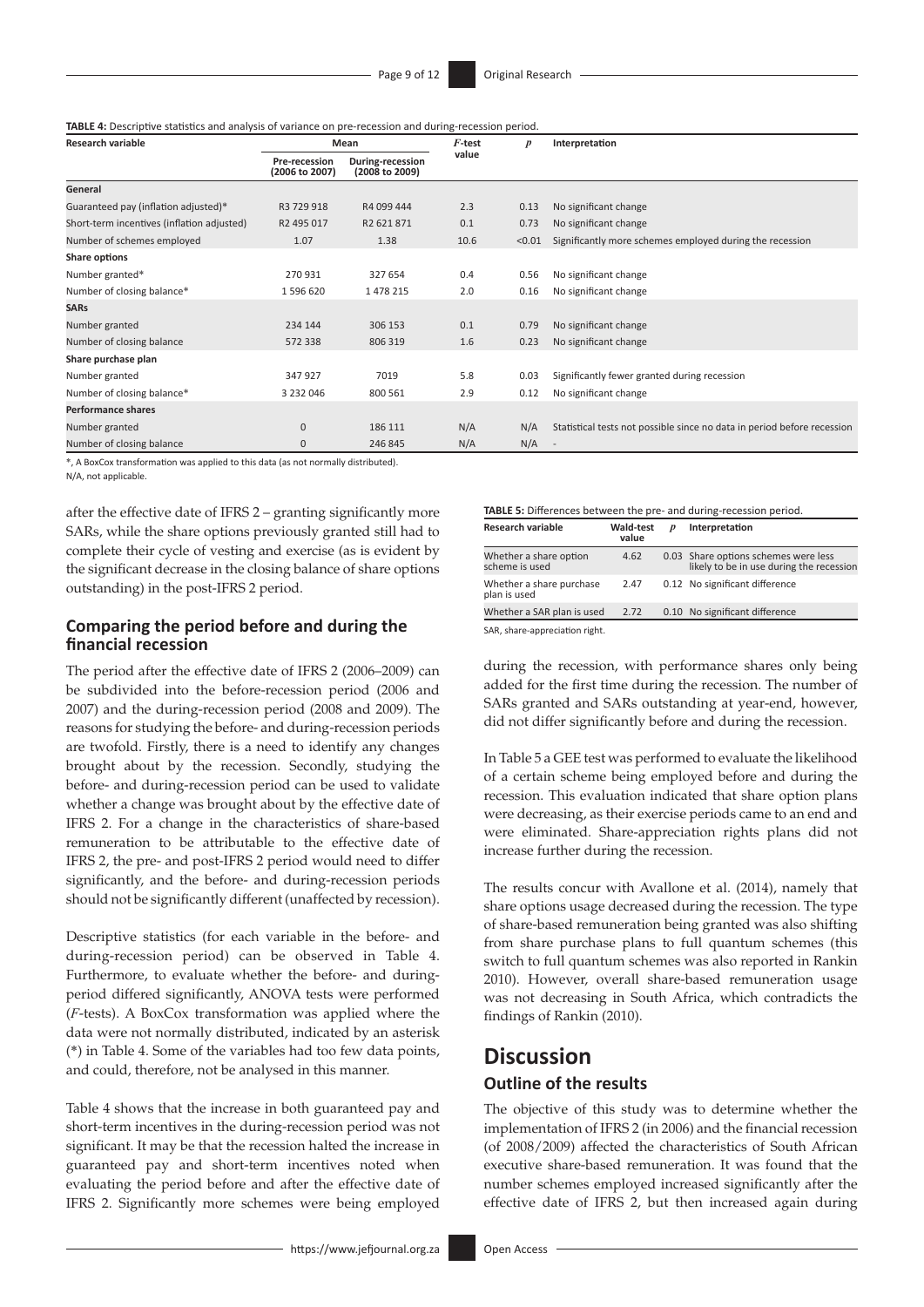**TABLE 4:** Descriptive statistics and analysis of variance on pre-recession and during-recession period.

| <b>Research variable</b>                   | Mean                                   |                                    | $F$ -test | $\boldsymbol{p}$ | Interpretation                                                          |
|--------------------------------------------|----------------------------------------|------------------------------------|-----------|------------------|-------------------------------------------------------------------------|
|                                            | <b>Pre-recession</b><br>(2006 to 2007) | During-recession<br>(2008 to 2009) | value     |                  |                                                                         |
| General                                    |                                        |                                    |           |                  |                                                                         |
| Guaranteed pay (inflation adjusted)*       | R3 729 918                             | R4 099 444                         | 2.3       | 0.13             | No significant change                                                   |
| Short-term incentives (inflation adjusted) | R2 495 017                             | R2 621 871                         | 0.1       | 0.73             | No significant change                                                   |
| Number of schemes employed                 | 1.07                                   | 1.38                               | 10.6      | < 0.01           | Significantly more schemes employed during the recession                |
| Share options                              |                                        |                                    |           |                  |                                                                         |
| Number granted*                            | 270 931                                | 327 654                            | 0.4       | 0.56             | No significant change                                                   |
| Number of closing balance*                 | 1596620                                | 1478215                            | 2.0       | 0.16             | No significant change                                                   |
| <b>SARs</b>                                |                                        |                                    |           |                  |                                                                         |
| Number granted                             | 234 144                                | 306 153                            | 0.1       | 0.79             | No significant change                                                   |
| Number of closing balance                  | 572 338                                | 806 319                            | 1.6       | 0.23             | No significant change                                                   |
| Share purchase plan                        |                                        |                                    |           |                  |                                                                         |
| Number granted                             | 347 927                                | 7019                               | 5.8       | 0.03             | Significantly fewer granted during recession                            |
| Number of closing balance*                 | 3 2 3 2 0 4 6                          | 800 561                            | 2.9       | 0.12             | No significant change                                                   |
| <b>Performance shares</b>                  |                                        |                                    |           |                  |                                                                         |
| Number granted                             | $\mathbf{0}$                           | 186 111                            | N/A       | N/A              | Statistical tests not possible since no data in period before recession |
| Number of closing balance                  | 0                                      | 246 845                            | N/A       | N/A              |                                                                         |

\*, A BoxCox transformation was applied to this data (as not normally distributed).

N/A, not applicable.

after the effective date of IFRS 2 – granting significantly more SARs, while the share options previously granted still had to complete their cycle of vesting and exercise (as is evident by the significant decrease in the closing balance of share options outstanding) in the post-IFRS 2 period.

#### **Comparing the period before and during the financial recession**

The period after the effective date of IFRS 2 (2006–2009) can be subdivided into the before-recession period (2006 and 2007) and the during-recession period (2008 and 2009). The reasons for studying the before- and during-recession periods are twofold. Firstly, there is a need to identify any changes brought about by the recession. Secondly, studying the before- and during-recession period can be used to validate whether a change was brought about by the effective date of IFRS 2. For a change in the characteristics of share-based remuneration to be attributable to the effective date of IFRS 2, the pre- and post-IFRS 2 period would need to differ significantly, and the before- and during-recession periods should not be significantly different (unaffected by recession).

Descriptive statistics (for each variable in the before- and during-recession period) can be observed in Table 4. Furthermore, to evaluate whether the before- and duringperiod differed significantly, ANOVA tests were performed (*F*-tests). A BoxCox transformation was applied where the data were not normally distributed, indicated by an asterisk (\*) in Table 4. Some of the variables had too few data points, and could, therefore, not be analysed in this manner.

Table 4 shows that the increase in both guaranteed pay and short-term incentives in the during-recession period was not significant. It may be that the recession halted the increase in guaranteed pay and short-term incentives noted when evaluating the period before and after the effective date of IFRS 2. Significantly more schemes were being employed

#### **TABLE 5:** Differences between the pre- and during-recession period.

| <b>Research variable</b>                 | Wald-test<br>value | p | Interpretation                                                                   |
|------------------------------------------|--------------------|---|----------------------------------------------------------------------------------|
| Whether a share option<br>scheme is used | 4.62               |   | 0.03 Share options schemes were less<br>likely to be in use during the recession |
| Whether a share purchase<br>plan is used | 2.47               |   | 0.12 No significant difference                                                   |
| Whether a SAR plan is used               | 2.72               |   | 0.10 No significant difference                                                   |
| SAR, share-appreciation right.           |                    |   |                                                                                  |

during the recession, with performance shares only being added for the first time during the recession. The number of SARs granted and SARs outstanding at year-end, however, did not differ significantly before and during the recession.

In Table 5 a GEE test was performed to evaluate the likelihood of a certain scheme being employed before and during the recession. This evaluation indicated that share option plans were decreasing, as their exercise periods came to an end and were eliminated. Share-appreciation rights plans did not increase further during the recession.

The results concur with Avallone et al. (2014), namely that share options usage decreased during the recession. The type of share-based remuneration being granted was also shifting from share purchase plans to full quantum schemes (this switch to full quantum schemes was also reported in Rankin 2010). However, overall share-based remuneration usage was not decreasing in South Africa, which contradicts the findings of Rankin (2010).

### **Discussion Outline of the results**

The objective of this study was to determine whether the implementation of IFRS 2 (in 2006) and the financial recession (of 2008/2009) affected the characteristics of South African executive share-based remuneration. It was found that the number schemes employed increased significantly after the effective date of IFRS 2, but then increased again during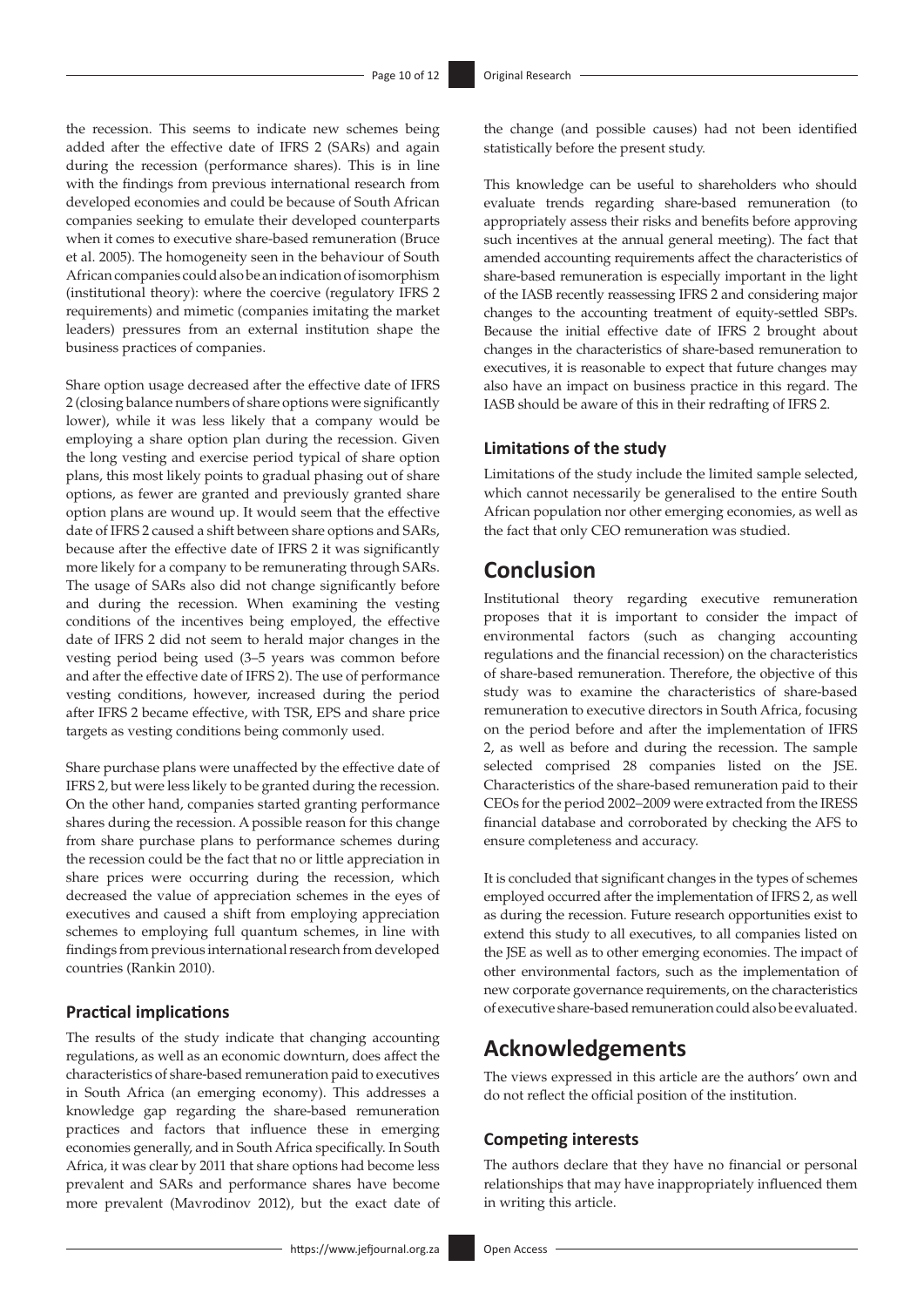the recession. This seems to indicate new schemes being added after the effective date of IFRS 2 (SARs) and again during the recession (performance shares). This is in line with the findings from previous international research from developed economies and could be because of South African companies seeking to emulate their developed counterparts when it comes to executive share-based remuneration (Bruce et al. 2005). The homogeneity seen in the behaviour of South African companies could also be an indication of isomorphism (institutional theory): where the coercive (regulatory IFRS 2 requirements) and mimetic (companies imitating the market leaders) pressures from an external institution shape the business practices of companies.

Share option usage decreased after the effective date of IFRS 2 (closing balance numbers of share options were significantly lower), while it was less likely that a company would be employing a share option plan during the recession. Given the long vesting and exercise period typical of share option plans, this most likely points to gradual phasing out of share options, as fewer are granted and previously granted share option plans are wound up. It would seem that the effective date of IFRS 2 caused a shift between share options and SARs, because after the effective date of IFRS 2 it was significantly more likely for a company to be remunerating through SARs. The usage of SARs also did not change significantly before and during the recession. When examining the vesting conditions of the incentives being employed, the effective date of IFRS 2 did not seem to herald major changes in the vesting period being used (3–5 years was common before and after the effective date of IFRS 2). The use of performance vesting conditions, however, increased during the period after IFRS 2 became effective, with TSR, EPS and share price targets as vesting conditions being commonly used.

Share purchase plans were unaffected by the effective date of IFRS 2, but were less likely to be granted during the recession. On the other hand, companies started granting performance shares during the recession. A possible reason for this change from share purchase plans to performance schemes during the recession could be the fact that no or little appreciation in share prices were occurring during the recession, which decreased the value of appreciation schemes in the eyes of executives and caused a shift from employing appreciation schemes to employing full quantum schemes, in line with findings from previous international research from developed countries (Rankin 2010).

#### **Practical implications**

The results of the study indicate that changing accounting regulations, as well as an economic downturn, does affect the characteristics of share-based remuneration paid to executives in South Africa (an emerging economy). This addresses a knowledge gap regarding the share-based remuneration practices and factors that influence these in emerging economies generally, and in South Africa specifically. In South Africa, it was clear by 2011 that share options had become less prevalent and SARs and performance shares have become more prevalent (Mavrodinov 2012), but the exact date of the change (and possible causes) had not been identified statistically before the present study.

This knowledge can be useful to shareholders who should evaluate trends regarding share-based remuneration (to appropriately assess their risks and benefits before approving such incentives at the annual general meeting). The fact that amended accounting requirements affect the characteristics of share-based remuneration is especially important in the light of the IASB recently reassessing IFRS 2 and considering major changes to the accounting treatment of equity-settled SBPs. Because the initial effective date of IFRS 2 brought about changes in the characteristics of share-based remuneration to executives, it is reasonable to expect that future changes may also have an impact on business practice in this regard. The IASB should be aware of this in their redrafting of IFRS 2.

#### **Limitations of the study**

Limitations of the study include the limited sample selected, which cannot necessarily be generalised to the entire South African population nor other emerging economies, as well as the fact that only CEO remuneration was studied.

## **Conclusion**

Institutional theory regarding executive remuneration proposes that it is important to consider the impact of environmental factors (such as changing accounting regulations and the financial recession) on the characteristics of share-based remuneration. Therefore, the objective of this study was to examine the characteristics of share-based remuneration to executive directors in South Africa, focusing on the period before and after the implementation of IFRS 2, as well as before and during the recession. The sample selected comprised 28 companies listed on the JSE. Characteristics of the share-based remuneration paid to their CEOs for the period 2002–2009 were extracted from the IRESS financial database and corroborated by checking the AFS to ensure completeness and accuracy.

It is concluded that significant changes in the types of schemes employed occurred after the implementation of IFRS 2, as well as during the recession. Future research opportunities exist to extend this study to all executives, to all companies listed on the JSE as well as to other emerging economies. The impact of other environmental factors, such as the implementation of new corporate governance requirements, on the characteristics of executive share-based remuneration could also be evaluated.

### **Acknowledgements**

The views expressed in this article are the authors' own and do not reflect the official position of the institution.

#### **Competing interests**

The authors declare that they have no financial or personal relationships that may have inappropriately influenced them in writing this article.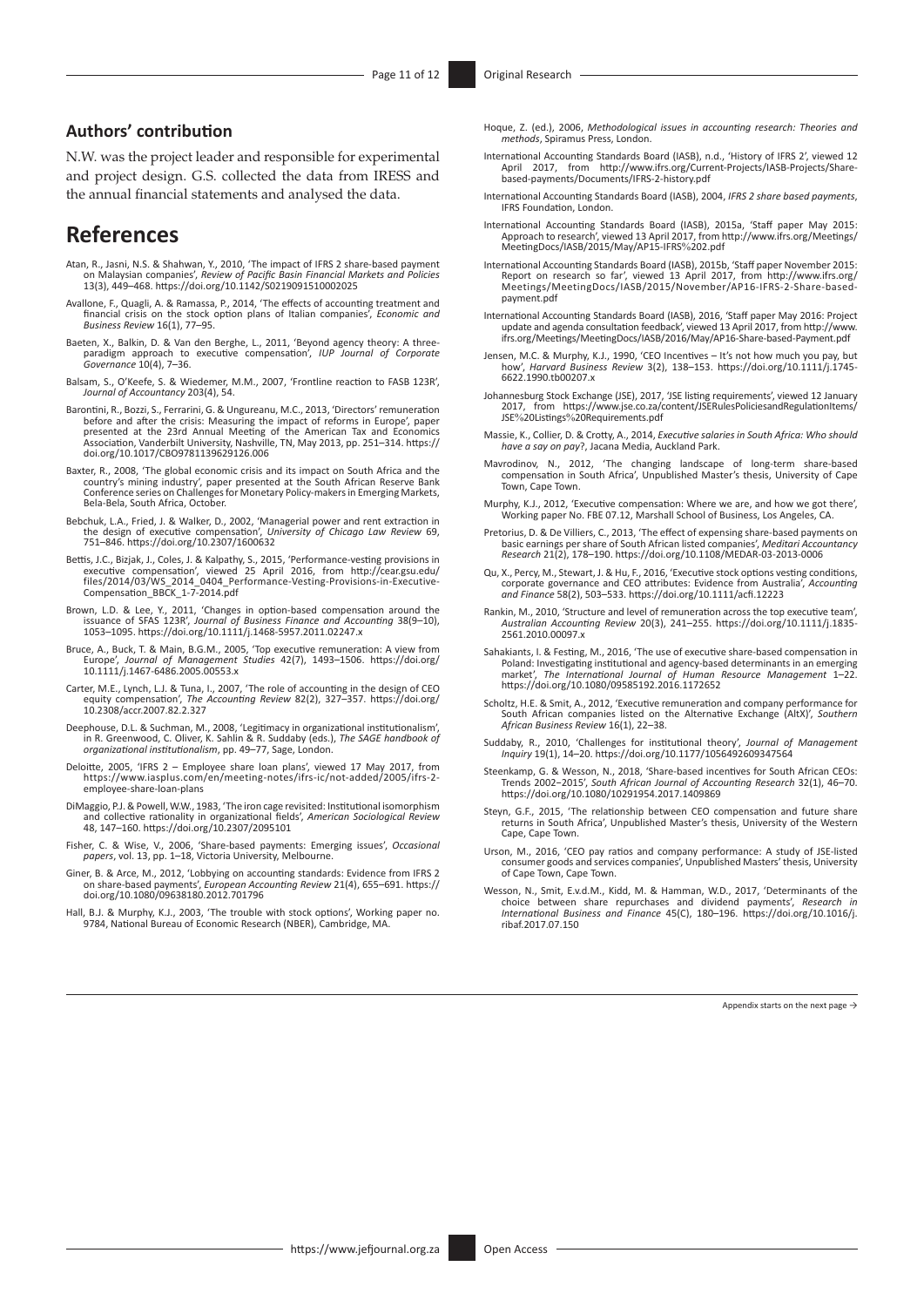### **Authors' contribution**

N.W. was the project leader and responsible for experimental and project design. G.S. collected the data from IRESS and the annual financial statements and analysed the data.

### **References**

- Atan, R., Jasni, N.S. & Shahwan, Y., 2010, 'The impact of IFRS 2 share-based payment on Malaysian companies', *Review of Pacific Basin Financial Markets and Policies* 13(3), 449–468.<https://doi.org/10.1142/S0219091510002025>
- Avallone, F., Quagli, A. & Ramassa, P., 2014, 'The effects of accounting treatment and financial crisis on the stock option plans of Italian companies', *Economic and Business Review* 16(1), 77–95.
- Baeten, X., Balkin, D. & Van den Berghe, L., 2011, 'Beyond agency theory: A three-paradigm approach to executive compensation', *IUP Journal of Corporate Governance* 10(4), 7–36.
- Balsam, S., O'Keefe, S. & Wiedemer, M.M., 2007, 'Frontline reaction to FASB 123R', *Journal of Accountancy* 203(4), 54.
- Barontini, R., Bozzi, S., Ferrarini, G. & Ungureanu, M.C., 2013, 'Directors' remuneration before and after the crisis: Measuring the impact of reforms in Europe', paper<br>presented at the 23rd Annual Meeting of the American Tax and Economics<br>Association, Vanderbilt University, Nashville, TN, May 2013, pp. 251–314
- Baxter, R., 2008, 'The global economic crisis and its impact on South Africa and the country's mining industry', paper presented at the South African Reserve Bank Conference series on Challenges for Monetary Policy-makers in Emerging Markets, Bela-Bela, South Africa, October.
- Bebchuk, L.A., Fried, J. & Walker, D., 2002, 'Managerial power and rent extraction in the design of executive compensation', *University of Chicago Law Review* 69, 751–846. <https://doi.org/10.2307/1600632>
- Bettis, J.C., Bizjak, J., Coles, J. & Kalpathy, S., 2015, 'Performance-vesting provisions in<br>executive compensation', viewed 25 April 2016, from [http://cear.gsu.edu/](http://cear.gsu.edu/files/2014/03/WS_2014_0404_Performance-Vesting-Provisions-in-Executive-Compensation_BBCK_1-7-2014.pdf)<br>files/2014/03/WS\_2014\_0404\_Performance-Vesting-Provision
- Brown, L.D. & Lee, Y., 2011, 'Changes in option-based compensation around the issuance of SFAS 123R', *Journal of Business Finance and Accounting* 38(9–10), 1053–1095.<https://doi.org/10.1111/j.1468-5957.2011.02247.x>
- Bruce, A., Buck, T. & Main, B.G.M., 2005, 'Top executive remuneration: A view from Europe', *Journal of Management Studies* 42(7), 1493–1506. [https://doi.org/](https://doi.org/10.1111/j.1467-6486.2005.00553.x) [10.1111/j.1467-6486.2005.00553.x](https://doi.org/10.1111/j.1467-6486.2005.00553.x)
- Carter, M.E., Lynch, L.J. & Tuna, I., 2007, 'The role of accounting in the design of CEO equity compensation', *The Accounting Review* 82(2), 327–357. [https://doi.org/](https://doi.org/10.2308/accr.2007.82.2.327) equity compensation', The<br>[10.2308/accr.2007.82.2.327](https://doi.org/10.2308/accr.2007.82.2.327)
- Deephouse, D.L. & Suchman, M., 2008, 'Legitimacy in organizational institutionalism', in R. Greenwood, C. Oliver, K. Sahlin & R. Suddaby (eds.), *The SAGE handbook of organizational institutionalism*, pp. 49–77, Sage, London.
- Deloitte, 2005, 'IFRS 2 Employee share loan plans', viewed 17 May 2017, from [https://www.iasplus.com/en/meeting-notes/ifrs-ic/not-added/2005/ifrs-2](https://www.iasplus.com/en/meeting-notes/ifrs-ic/not-added/2005/ifrs-2-employee-share-loan-plans) [employee-share-loan-plans](https://www.iasplus.com/en/meeting-notes/ifrs-ic/not-added/2005/ifrs-2-employee-share-loan-plans)
- DiMaggio, P.J. & Powell, W.W., 1983, 'The iron cage revisited: Institutional isomorphism and collective rationality in organizational fields', *American Sociological Review* 48, 147–160.<https://doi.org/10.2307/2095101>
- Fisher, C. & Wise, V., 2006, 'Share-based payments: Emerging issues', *Occasional papers*, vol. 13, pp. 1–18, Victoria University, Melbourne.
- Giner, B. & Arce, M., 2012, 'Lobbying on accounting standards: Evidence from IFRS 2 on share-based payments', *European Accounting Review* 21(4), 655–691. [https://](https://doi.org/10.1080/09638180.2012.701796) [doi.org/10.1080/09638180.2012.701796](https://doi.org/10.1080/09638180.2012.701796)
- Hall, B.J. & Murphy, K.J., 2003, 'The trouble with stock options', Working paper no. 9784, National Bureau of Economic Research (NBER), Cambridge, MA.
- Hoque, Z. (ed.), 2006, *Methodological issues in accounting research: Theories and methods*, Spiramus Press, London.
- International Accounting Standards Board (IASB), n.d., 'History of IFRS 2', viewed 12 April 2017, from [http://www.ifrs.org/Current-Projects/IASB-Projects/Share-](http://www.ifrs.org/Current-Projects/IASB-Projects/Share-based-payments/Documents/IFRS-2-history.pdf)[based-payments/Documents/IFRS-2-history.pdf](http://www.ifrs.org/Current-Projects/IASB-Projects/Share-based-payments/Documents/IFRS-2-history.pdf)
- International Accounting Standards Board (IASB), 2004, *IFRS 2 share based payments*, IFRS Foundation, London.
- International Accounting Standards Board (IASB), 2015a, 'Staff paper May 2015: Approach to research', viewed 13 April 2017, from [http://www.ifrs.org/Meetings/](http://www.ifrs.org/Meetings/MeetingDocs/IASB/2015/May/AP15-IFRS%202.pdf) [MeetingDocs/IASB/2015/May/AP15-IFRS](http://www.ifrs.org/Meetings/MeetingDocs/IASB/2015/May/AP15-IFRS%202.pdf)%202.pdf
- International Accounting Standards Board (IASB), 2015b, 'Staff paper November 2015: Report on research so far', viewed 13 April 2017, from [http://www.ifrs.org/](http://www.ifrs.org/Meetings/MeetingDocs/IASB/2015/November/AP16-IFRS-2-Share-based-payment.pdf) [Meetings/MeetingDocs/IASB/2015/November/AP16-IFRS-2-Share-based](http://www.ifrs.org/Meetings/MeetingDocs/IASB/2015/November/AP16-IFRS-2-Share-based-payment.pdf)[payment.pdf](http://www.ifrs.org/Meetings/MeetingDocs/IASB/2015/November/AP16-IFRS-2-Share-based-payment.pdf)
- International Accounting Standards Board (IASB), 2016, 'Staff paper May 2016: Project update and agenda consultation feedback', viewed 13 April 2017, from [http://www.](http://www.ifrs.org/Meetings/MeetingDocs/IASB/2016/May/AP16-Share-based-Payment.pdf) [ifrs.org/Meetings/MeetingDocs/IASB/2016/May/AP16-Share-based-Payment.pdf](http://www.ifrs.org/Meetings/MeetingDocs/IASB/2016/May/AP16-Share-based-Payment.pdf)
- Jensen, M.C. & Murphy, K.J., 1990, 'CEO Incentives It's not how much you pay, but how', *Harvard Business Review* 3(2), 138–153. [https://doi.org/10.1111/j.1745-](https://doi.org/10.1111/j.1745-6622.1990.tb00207.x) [6622.1990.tb00207.x](https://doi.org/10.1111/j.1745-6622.1990.tb00207.x)
- Johannesburg Stock Exchange (JSE), 2017, 'JSE listing requirements', viewed 12 January 2017, from [https://www.jse.co.za/content/JSERulesPoliciesandRegulationItems/](https://www.jse.co.za/content/JSERulesPoliciesandRegulationItems/JSE%20Listings%20Requirements.pdf) JSE%20Listings%[20Requirements.pdf](https://www.jse.co.za/content/JSERulesPoliciesandRegulationItems/JSE%20Listings%20Requirements.pdf)
- Massie, K., Collier, D. & Crotty, A., 2014, *Executive salaries in South Africa: Who should have a say on pay*?, Jacana Media, Auckland Park.
- Mavrodinov, N., 2012, 'The changing landscape of long-term share-based compensation in South Africa', Unpublished Master's thesis, University of Cape Town, Cape Town.
- Murphy, K.J., 2012, 'Executive compensation: Where we are, and how we got there', Working paper No. FBE 07.12, Marshall School of Business, Los Angeles, CA.
- Pretorius, D. & De Villiers, C., 2013, 'The effect of expensing share-based payments on basic earnings per share of South African listed companies', *Meditari Accountancy Research* 21(2), 178–190. <https://doi.org/10.1108/MEDAR-03-2013-0006>
- Qu, X., Percy, M., Stewart, J. & Hu, F., 2016, 'Executive stock options vesting conditions, corporate governance and CEO attributes: Evidence from Australia', *Accounting and Finance* 58(2), 503–533.<https://doi.org/10.1111/acfi.12223>
- Rankin, M., 2010, 'Structure and level of remuneration across the top executive team', *Australian Accounting Review* 20(3), 241–255. [https://doi.org/10.1111/j.1835-](https://doi.org/10.1111/j.1835-2561.2010.00097.x) [2561.2010.00097.x](https://doi.org/10.1111/j.1835-2561.2010.00097.x)
- Sahakiants, I. & Festing, M., 2016, 'The use of executive share-based compensation in Poland: Investigating institutional and agency-based determinants in an emerging market', *The International Journal of Human Resource Management* 1–22. <https://doi.org/10.1080/09585192.2016.1172652>
- Scholtz, H.E. & Smit, A., 2012, 'Executive remuneration and company performance for South African companies listed on the Alternative Exchange (AltX)', *Southern African Business Review* 16(1), 22–38.
- Suddaby, R., 2010, 'Challenges for institutional theory', *Journal of Management Inquiry* 19(1), 14–20. <https://doi.org/10.1177/1056492609347564>
- Steenkamp, G. & Wesson, N., 2018, 'Share-based incentives for South African CEOs: Trends 2002−2015', *South African Journal of Accounting Research* 32(1), 46–70. <https://doi.org/10.1080/10291954.2017.1409869>
- Steyn, G.F., 2015, 'The relationship between CEO compensation and future share returns in South Africa', Unpublished Master's thesis, University of the Western Cape, Cape Town.
- Urson, M., 2016, 'CEO pay ratios and company performance: A study of JSE-listed consumer goods and services companies', Unpublished Masters' thesis, University of Cape Town, Cape Town.
- Wesson, N., Smit, E.v.d.M., Kidd, M. & Hamman, W.D., 2017, 'Determinants of the choice between share repurchases and dividend payments', *Research in International Business and Finance* 45(C), 180–196. [https://doi.org/10.1016/j.](https://doi.org/10.1016/j.ribaf.2017.07.150) [ribaf.2017.07.150](https://doi.org/10.1016/j.ribaf.2017.07.150)

Appendix starts on the next page  $\rightarrow$